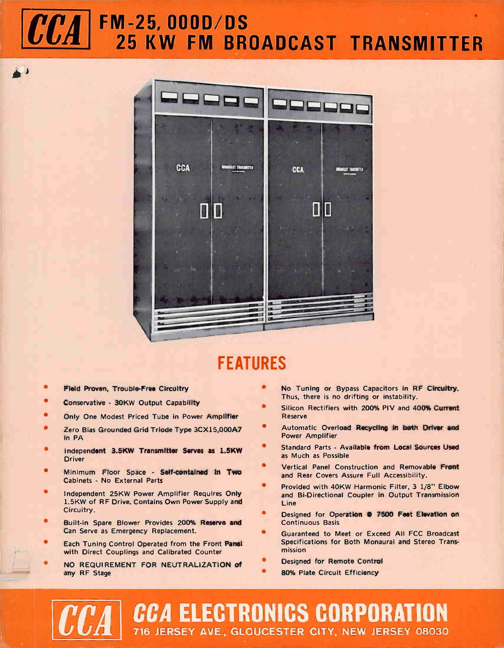# CCA FM-25, 000D/DS 25 KW FM BROADCAST TRANSMITTER



### FEATURES

- Field Proven, Trouble-Free Circuitry
- Conservative 30KW Output Capability
- Only One Modest Priced Tube in Power Amplifier
- Zero Bias Grounded Grid Triode Type 3CX15,000A7 in PA
- Independent 3.5KW Transmitter Serves as 1.5KW Driver
- Minimum Floor Space Self-contained in Two Cabinets - No External Parts
- Independent 25KW Power Amplifier Requires Only 1.5KW of RF Drive. Contains Own Power Supply and Circuitry.
- Built-in Spare Blower Provides 200% Reserve and Can Serve as Emergency Replacement.
- Each Tuning Control Operated from the Front Panel with Direct Couplings and Calibrated Counter
- NO REQUIREMENT FOR NEUTRALIZATION of any RF Stage
- No Tuning or Bypass Capacitors in RF Circuitry. Thus, there is no drifting or instability.
- Silicon Rectifiers with 200% PIV and 400% Current Reserve
- Automatic Overload Recycling in both Driver and Power Amplifier
- Standard Parts Available from Local Sources Used as Much as Possible
- ò Vertical Panel Construction and Removable Front and Rear Covers Assure Full Accessibility.
- ò Provided with 40KW Harmonic Filter, 3 1/8" Elbow and Bi-Directional Coupler in Output Transmission Line
- Designed for Operation @ 7500 Feet Elevation on Continuous Basis
- Guaranteed to Meet or Exceed All FCC Broadcast Specifications for Both Monaural and Stereo Transmission
- Designed for Remote Control
- 80% Plate Circuit Efficiency

CCA ELECTRONICS CORPORATION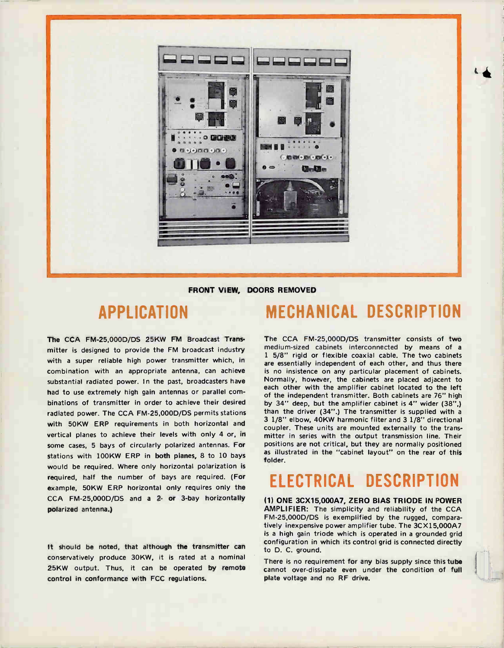

#### FRONT VIEW, DOORS REMOVED

#### APPLICATION

The CCA FM-25,000D/DS 25KW FM Broadcast Transmitter is designed to provide the FM broadcast industry with a super reliable high power transmitter which, in combination with an appropriate antenna, can achieve substantial radiated power. In the past, broadcasters have had to use extremely high gain antennas or parallel combinations of transmitter in order to achieve their desired radiated power. The CCA FM-25,000D/DS permits stations with 50KW ERP requirements in both horizontal and vertical planes to achieve their levels with only 4 or, in some cases, 5 bays of circularly polarized antennas. For stations with 100KW ERP in both planes, 8 to 10 bays would be required. Where only horizontal polarization is required, half the number of bays are required. (For example, 50KW ERP horizontal only requires only the CCA FM-25,000D/DS and a 2- or 3-bay horizontally polarized antenna.)

It should be noted, that although the transmitter can conservatively produce 30KW, it is rated at a nominal 25KW output. Thus, it can be operated by remote control in conformance with FCC regulations.

#### MECHANICAL DESCRIPTION

The CCA FM-25,000D/DS transmitter consists of two medium-sized cabinets interconnected by means of a 1 5/8" rigid or flexible coaxial cable. The two cabinets are essentially independent of each other, and thus there is no insistence on any particular placement of cabinets. Normally, however, the cabinets are placed adjacent to each other with the amplifier cabinet located to the left of the independent transmitter. Both cabinets are 76" high by 34" deep, but the amplifier cabinet is 4" wider (38",) than the driver (34".) The transmitter is supplied with a 3 1/8" elbow, 40KW harmonic filter and 3 1/8" directional coupler. These units are mounted externally to the transmitter in series with the output transmission line. Their positions are not critical, but they are normally positioned as illustrated in the "cabinet layout" on the rear of this folder.

## ELECTRICAL DESCRIPTION

(1) ONE 3CX15,000A7, ZERO BIAS TRIODE IN POWER AMPLIFIER: The simplicity and reliability of the CCA FM-25,000D/DS is exemplified by the rugged, comparatively inexpensive power amplifier tube. The 3CX15,000A7 is a high gain triode which is operated in a grounded grid configuration in which its control grid is connected directly to D. C. ground.

There is no requirement for any bias supply since this tube cannot over-dissipate even under the condition of full plate voltage and no RF drive.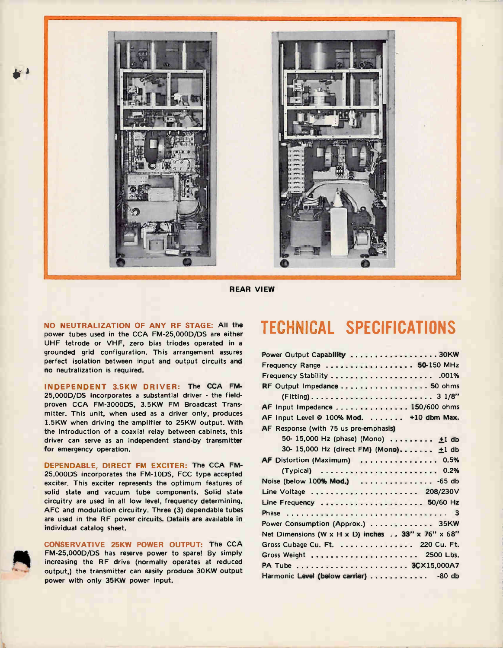

REAR VIEW

NO NEUTRALIZATION OF ANY RF STAGE: All the power tubes used in the CCA FM-25,000D/DS are either UHF tetrode or VHF, zero bias triodes operated in a grounded grid configuration. This arrangement assures perfect isolation between input and output circuits and no neutralization is required.

INDEPENDENT 3.5KW DRIVER: The CCA FM-25,000D/DS incorporates a substantial driver - the fieldproven CCA FM-3000DS, 3.5KW FM Broadcast Transmitter. This unit, when used as a driver only, produces 1.5KW when driving the amplifier to 25KW output. With the introduction of a coaxial relay between cabinets, this driver can serve as an independent stand-by transmitter for emergency operation.

DEPENDABLE, DIRECT FM EXCITER: The CCA FM-25,000DS incorporates the FM-10DS, FCC type accepted exciter. This exciter represents the optimum features of solid state and vacuum tube components. Solid state circuitry are used in all low level, frequency determining, AFC and modulation circuitry. Three (3) dependable tubes are used in the RF power circuits. Details are available in individual catalog sheet.

CONSERVATIVE 25KW POWER OUTPUT: The CCA FM-25,000D/DS has reserve power to spare! By simply increasing the RF drive (normally operates at reduced output,) the transmitter can easily produce 30KW output power with only 35KW power input.

#### TECHNICAL SPECIFICATIONS

| Power Output Capability 30KW                      |
|---------------------------------------------------|
| Frequency Range  50-150 MHz                       |
|                                                   |
| RF Output Impedance  50 ohms                      |
|                                                   |
| AF Input Impedance 150/600 ohms                   |
| AF input Level @ 100% Mod.  +10 dbm Max.          |
| AF Response (with 75 us pre-emphasis)             |
| 50- 15,000 Hz (phase) (Mono)  ±1 db               |
| 30- 15,000 Hz (direct FM) (Mono) ±1 db            |
| AF Distortion (Maximum)  0.5%                     |
|                                                   |
| Noise (below $100\%$ Mod.)  -65 db                |
|                                                   |
|                                                   |
|                                                   |
| Power Consumption (Approx.) 35KW                  |
| Net Dimensions (W x H x D) inches 33" x 76" x 68" |
| Gross Cubage Cu. Ft. 220 Cu. Ft.                  |
|                                                   |
|                                                   |
| Harmonic Level (below carrier) - 80 db            |